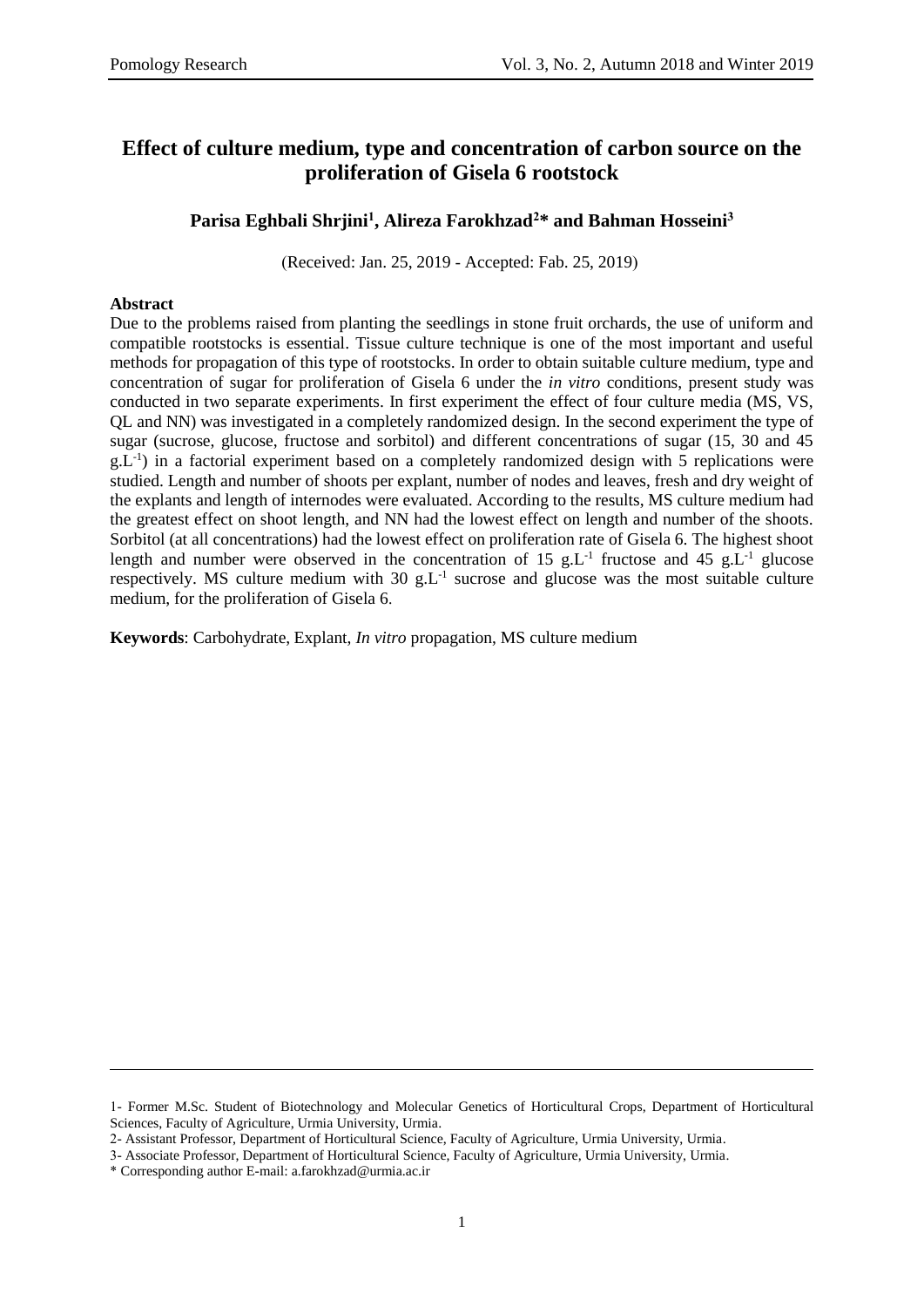## **Effect of culture medium, type and concentration of carbon source on the proliferation of Gisela 6 rootstock**

### **Parisa Eghbali Shrjini<sup>1</sup> , Alireza Farokhzad<sup>2</sup>\* and Bahman Hosseini<sup>3</sup>**

(Received: Jan. 25, 2019 - Accepted: Fab. 25, 2019)

#### **Abstract**

Due to the problems raised from planting the seedlings in stone fruit orchards, the use of uniform and compatible rootstocks is essential. Tissue culture technique is one of the most important and useful methods for propagation of this type of rootstocks. In order to obtain suitable culture medium, type and concentration of sugar for proliferation of Gisela 6 under the *in vitro* conditions, present study was conducted in two separate experiments. In first experiment the effect of four culture media (MS, VS, QL and NN) was investigated in a completely randomized design. In the second experiment the type of sugar (sucrose, glucose, fructose and sorbitol) and different concentrations of sugar (15, 30 and 45  $g.L^{-1}$ ) in a factorial experiment based on a completely randomized design with 5 replications were studied. Length and number of shoots per explant, number of nodes and leaves, fresh and dry weight of the explants and length of internodes were evaluated. According to the results, MS culture medium had the greatest effect on shoot length, and NN had the lowest effect on length and number of the shoots. Sorbitol (at all concentrations) had the lowest effect on proliferation rate of Gisela 6. The highest shoot length and number were observed in the concentration of 15  $g.L^{-1}$  fructose and 45  $g.L^{-1}$  glucose respectively. MS culture medium with  $30 \text{ g.L}^{-1}$  sucrose and glucose was the most suitable culture medium, for the proliferation of Gisela 6.

**Keywords**: Carbohydrate, Explant, *In vitro* propagation, MS culture medium

 $\overline{\phantom{a}}$ 

<sup>1-</sup> Former M.Sc. Student of Biotechnology and Molecular Genetics of Horticultural Crops, Department of Horticultural Sciences, Faculty of Agriculture, Urmia University, Urmia.

<sup>2-</sup> Assistant Professor, Department of Horticultural Science, Faculty of Agriculture, Urmia University, Urmia.

<sup>3-</sup> Associate Professor, Department of Horticultural Science, Faculty of Agriculture, Urmia University, Urmia.

<sup>\*</sup> Corresponding author E-mail: a.farokhzad@urmia.ac.ir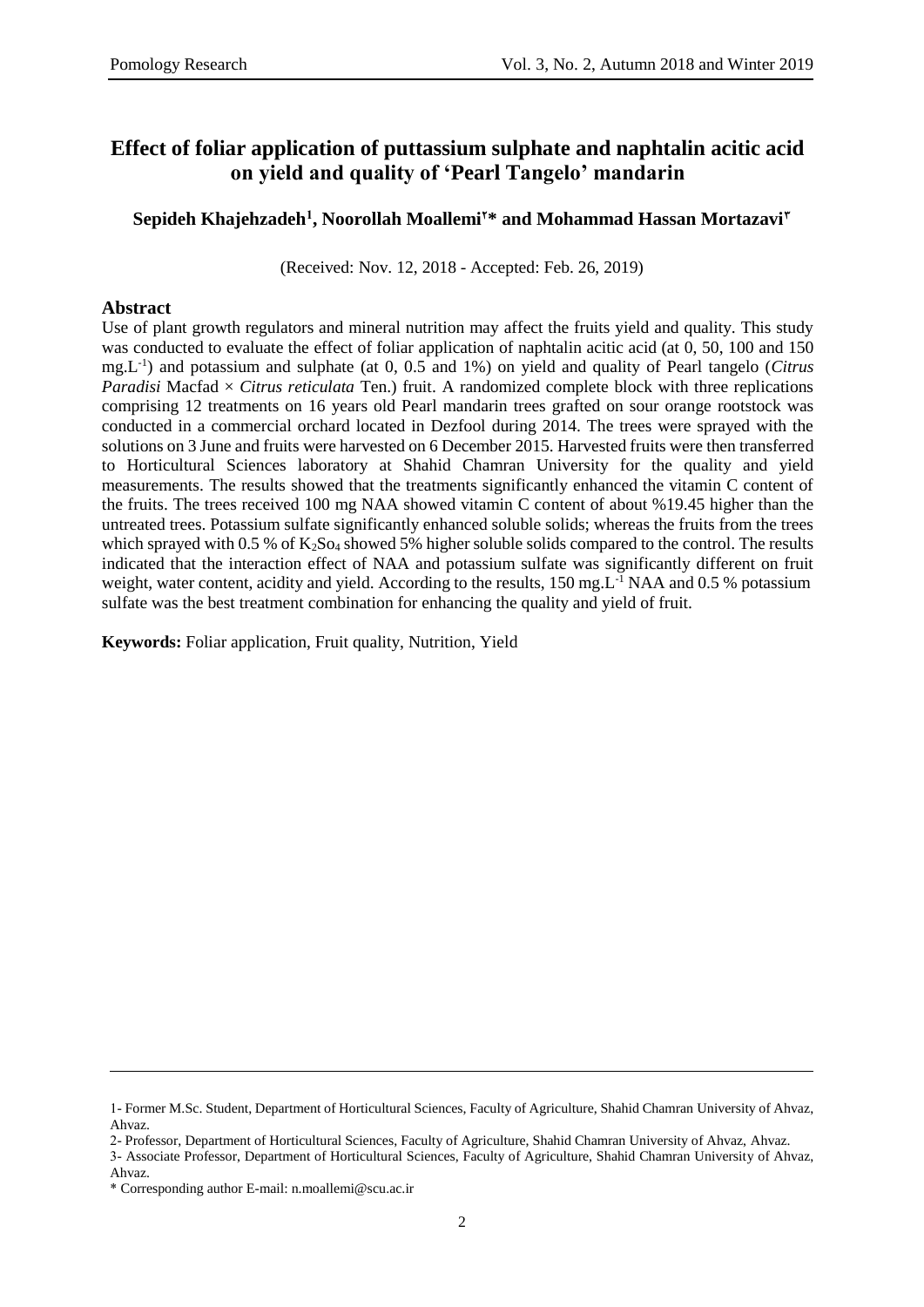# **Effect of foliar application of puttassium sulphate and naphtalin acitic acid on yield and quality of 'Pearl Tangelo' mandarin**

### $\boldsymbol{\delta}$  Sepideh Khajehzadeh<sup>1</sup>, Noorollah Moallemi<sup>r</sup>\* and Mohammad Hassan Mortazavi<sup>r</sup>

(Received: Nov. 12, 2018 - Accepted: Feb. 26, 2019)

### **Abstract**

Use of plant growth regulators and mineral nutrition may affect the fruits yield and quality. This study was conducted to evaluate the effect of foliar application of naphtalin acitic acid (at 0, 50, 100 and 150 mg.L -1 ) and potassium and sulphate (at 0, 0.5 and 1%) on yield and quality of Pearl tangelo (*Citrus Paradisi* Macfad  $\times$  *Citrus reticulata* Ten.) fruit. A randomized complete block with three replications comprising 12 treatments on 16 years old Pearl mandarin trees grafted on sour orange rootstock was conducted in a commercial orchard located in Dezfool during 2014. The trees were sprayed with the solutions on 3 June and fruits were harvested on 6 December 2015. Harvested fruits were then transferred to Horticultural Sciences laboratory at Shahid Chamran University for the quality and yield measurements. The results showed that the treatments significantly enhanced the vitamin C content of the fruits. The trees received 100 mg NAA showed vitamin C content of about %19.45 higher than the untreated trees. Potassium sulfate significantly enhanced soluble solids; whereas the fruits from the trees which sprayed with 0.5 % of  $K_2$ So<sub>4</sub> showed 5% higher soluble solids compared to the control. The results indicated that the interaction effect of NAA and potassium sulfate was significantly different on fruit weight, water content, acidity and yield. According to the results, 150 mg.L<sup>-1</sup> NAA and 0.5 % potassium sulfate was the best treatment combination for enhancing the quality and yield of fruit.

**Keywords:** Foliar application, Fruit quality, Nutrition, Yield

 $\overline{\phantom{a}}$ 

<sup>1-</sup> Former M.Sc. Student, Department of Horticultural Sciences, Faculty of Agriculture, Shahid Chamran University of Ahvaz, Ahvaz.

<sup>2-</sup> Professor, Department of Horticultural Sciences, Faculty of Agriculture, Shahid Chamran University of Ahvaz, Ahvaz.

<sup>3-</sup> Associate Professor, Department of Horticultural Sciences, Faculty of Agriculture, Shahid Chamran University of Ahvaz, Ahvaz.

<sup>\*</sup> Corresponding author E-mail: n.moallemi@scu.ac.ir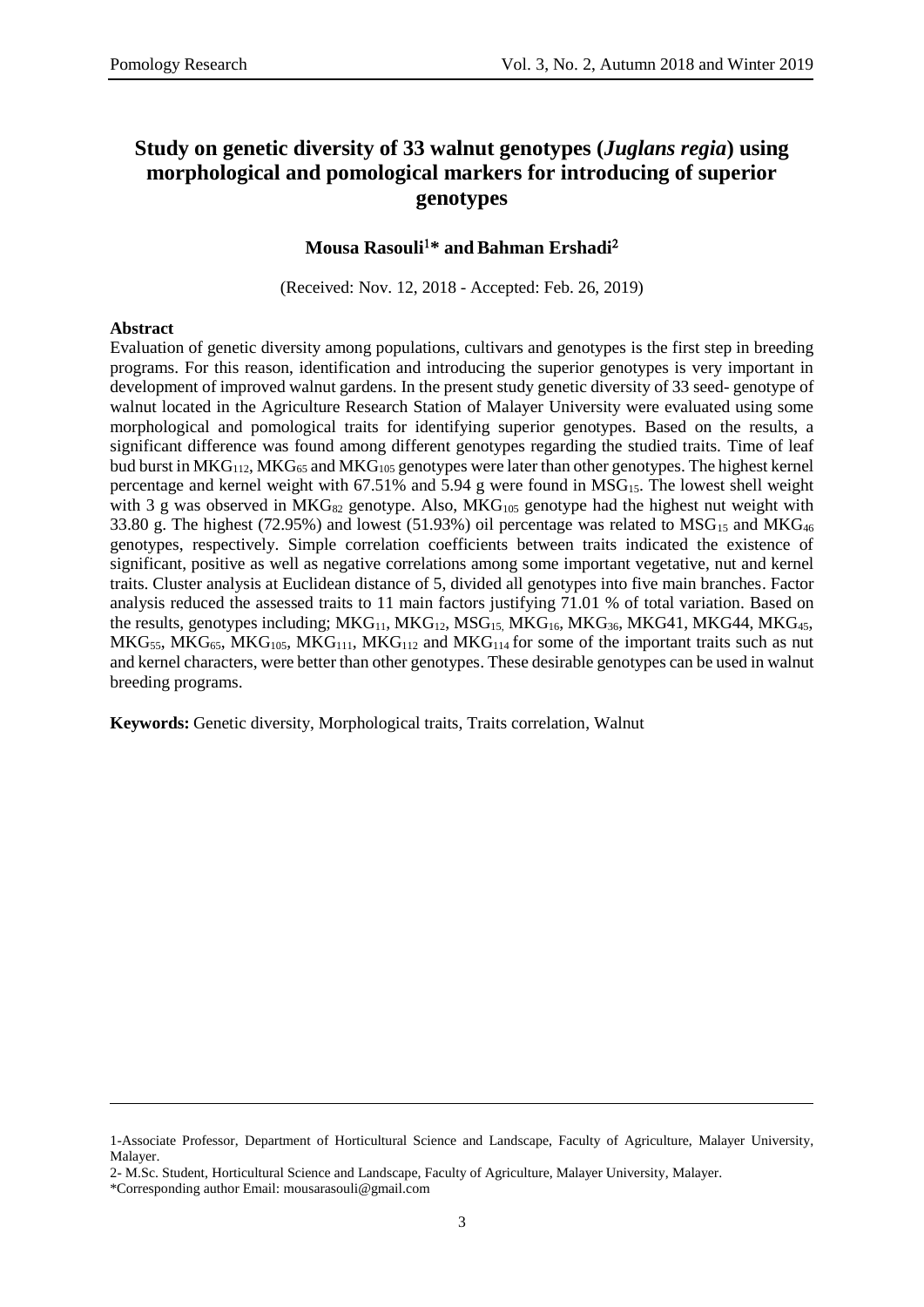# **Study on genetic diversity of 33 walnut genotypes (***Juglans regia***) using morphological and pomological markers for introducing of superior genotypes**

### **Mousa Rasouli\* andBahman Ershadi**

(Received: Nov. 12, 2018 - Accepted: Feb. 26, 2019)

#### **Abstract**

Evaluation of genetic diversity among populations, cultivars and genotypes is the first step in breeding programs. For this reason, identification and introducing the superior genotypes is very important in development of improved walnut gardens. In the present study genetic diversity of 33 seed- genotype of walnut located in the Agriculture Research Station of Malayer University were evaluated using some morphological and pomological traits for identifying superior genotypes. Based on the results, a significant difference was found among different genotypes regarding the studied traits. Time of leaf bud burst in  $MKG_{112}$ ,  $MKG_{65}$  and  $MKG_{105}$  genotypes were later than other genotypes. The highest kernel percentage and kernel weight with  $67.51\%$  and  $5.94$  g were found in MSG<sub>15</sub>. The lowest shell weight with 3 g was observed in  $MKG_{82}$  genotype. Also,  $MKG_{105}$  genotype had the highest nut weight with 33.80 g. The highest (72.95%) and lowest (51.93%) oil percentage was related to  $MSG_{15}$  and  $MKG_{46}$ genotypes, respectively. Simple correlation coefficients between traits indicated the existence of significant, positive as well as negative correlations among some important vegetative, nut and kernel traits. Cluster analysis at Euclidean distance of 5, divided all genotypes into five main branches. Factor analysis reduced the assessed traits to 11 main factors justifying 71.01 % of total variation. Based on the results, genotypes including;  $MKG_{11}$ ,  $MKG_{12}$ ,  $MSG_{15}$ ,  $MKG_{16}$ ,  $MKG_{36}$ ,  $MKG_{41}$ ,  $MKG_{44}$ ,  $MKG_{45}$ ,  $MKG_{55}$ ,  $MKG_{65}$ ,  $MKG_{105}$ ,  $MKG_{111}$ ,  $MKG_{112}$  and  $MKG_{114}$  for some of the important traits such as nut and kernel characters, were better than other genotypes. These desirable genotypes can be used in walnut breeding programs.

**Keywords:** Genetic diversity, Morphological traits, Traits correlation, Walnut

\*Corresponding author Email: [mousarasouli@gmail.com](mailto:mousarasouli@gmail.com)

 $\overline{\phantom{a}}$ 

<sup>1-</sup>Associate Professor, Department of Horticultural Science and Landscape, Faculty of Agriculture, Malayer University, Malayer.

<sup>2-</sup> M.Sc. Student, Horticultural Science and Landscape, Faculty of Agriculture, Malayer University, Malayer.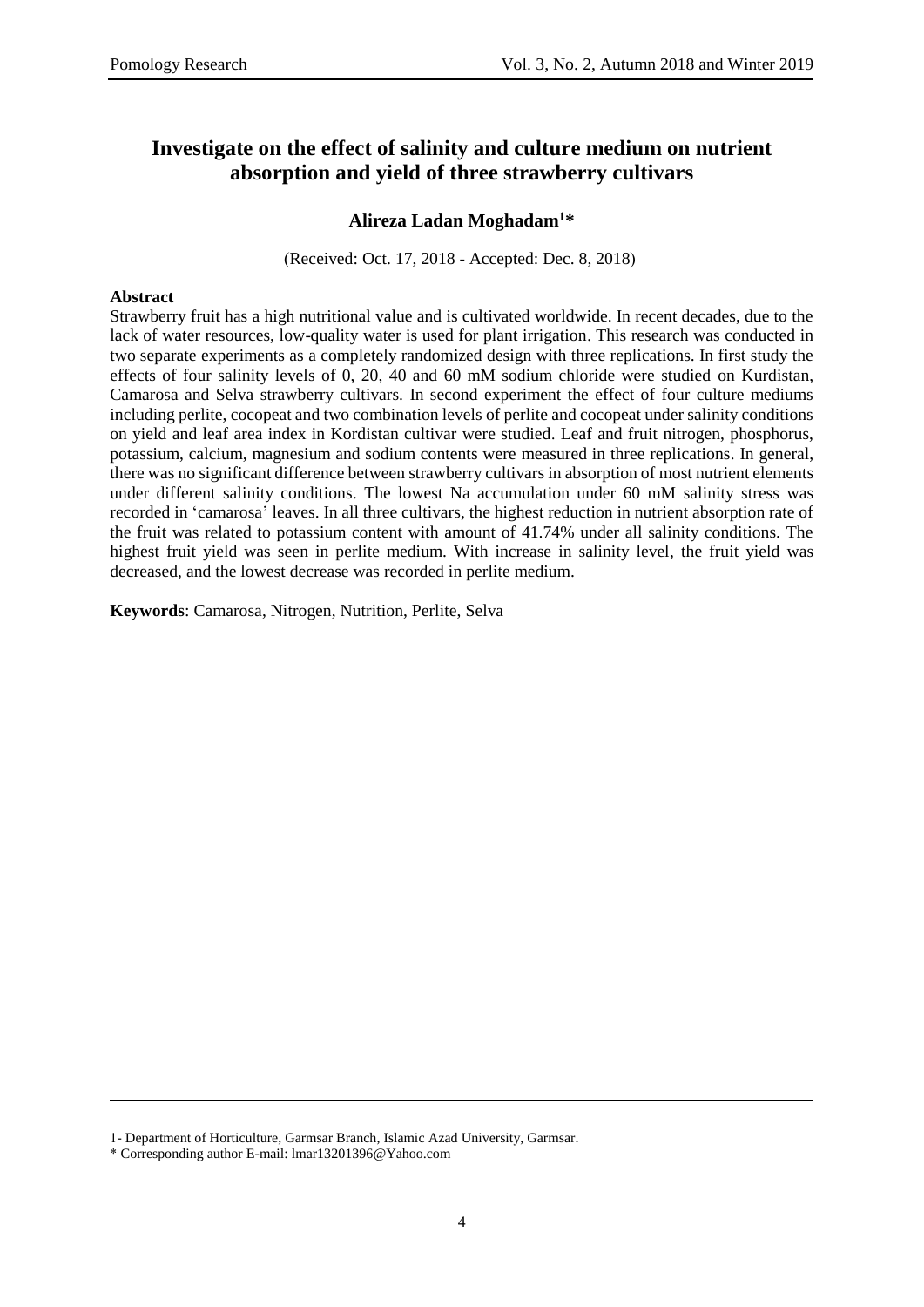# **Investigate on the effect of salinity and culture medium on nutrient absorption and yield of three strawberry cultivars**

### **Alireza Ladan Moghadam<sup>1</sup>\***

(Received: Oct. 17, 2018 - Accepted: Dec. 8, 2018)

### **Abstract**

Strawberry fruit has a high nutritional value and is cultivated worldwide. In recent decades, due to the lack of water resources, low-quality water is used for plant irrigation. This research was conducted in two separate experiments as a completely randomized design with three replications. In first study the effects of four salinity levels of 0, 20, 40 and 60 mM sodium chloride were studied on Kurdistan, Camarosa and Selva strawberry cultivars. In second experiment the effect of four culture mediums including perlite, cocopeat and two combination levels of perlite and cocopeat under salinity conditions on yield and leaf area index in Kordistan cultivar were studied. Leaf and fruit nitrogen, phosphorus, potassium, calcium, magnesium and sodium contents were measured in three replications. In general, there was no significant difference between strawberry cultivars in absorption of most nutrient elements under different salinity conditions. The lowest Na accumulation under 60 mM salinity stress was recorded in 'camarosa' leaves. In all three cultivars, the highest reduction in nutrient absorption rate of the fruit was related to potassium content with amount of 41.74% under all salinity conditions. The highest fruit yield was seen in perlite medium. With increase in salinity level, the fruit yield was decreased, and the lowest decrease was recorded in perlite medium.

**Keywords**: Camarosa, Nitrogen, Nutrition, Perlite, Selva

 $\overline{a}$ 

<sup>1-</sup> Department of Horticulture, Garmsar Branch, Islamic Azad University, Garmsar.

<sup>\*</sup> Corresponding author E-mail: [lmar13201396@Yahoo.com](mailto:lmar13201396@Yahoo.com)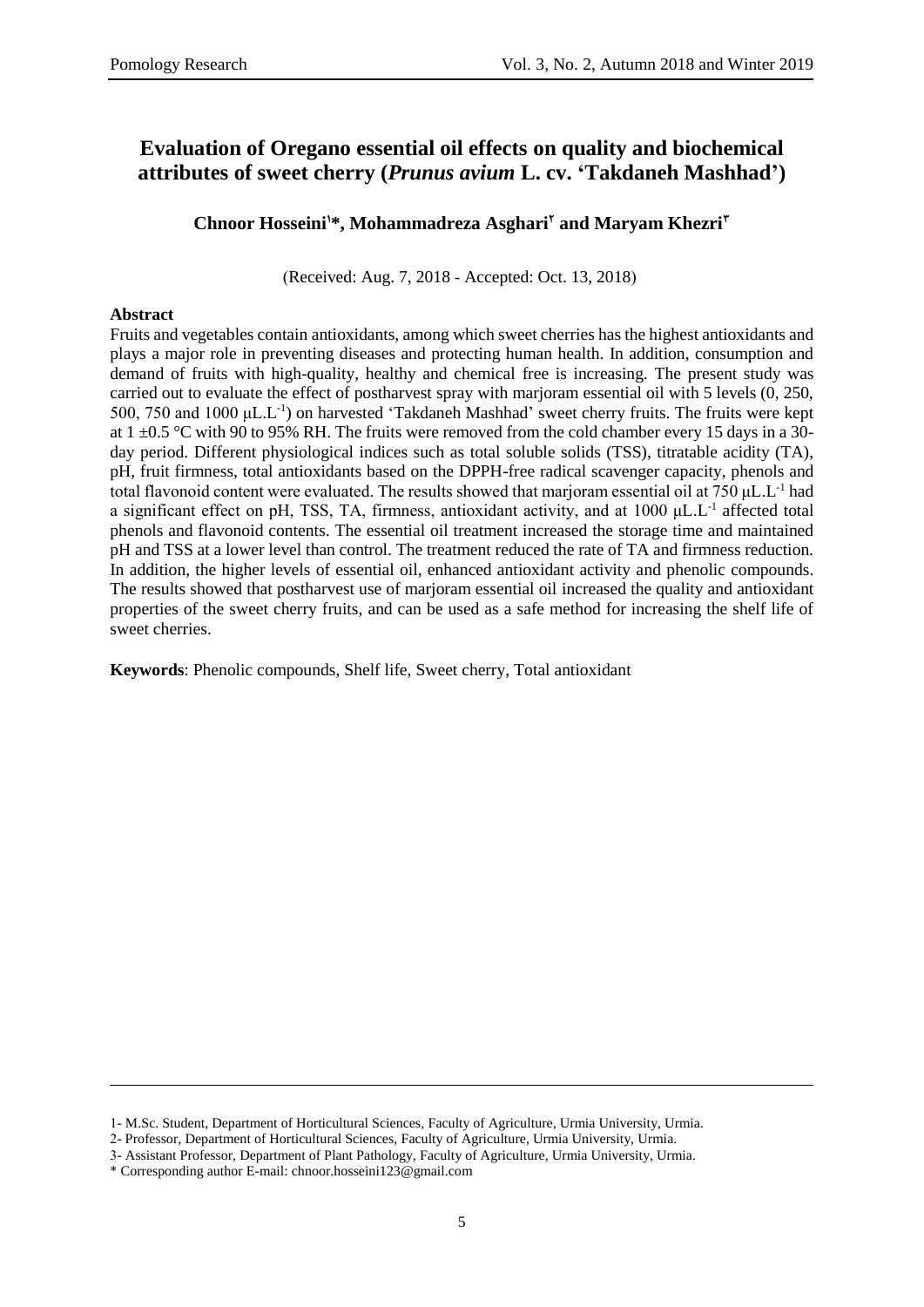# **Evaluation of Oregano essential oil effects on quality and biochemical attributes of sweet cherry (***Prunus avium* **L. cv. 'Takdaneh Mashhad')**

**Chnoor Hosseini1\*, Mohammadreza Asghari<sup>2</sup> and Maryam Khezri<sup>3</sup>**

(Received: Aug. 7, 2018 - Accepted: Oct. 13, 2018)

#### **Abstract**

 $\overline{a}$ 

Fruits and vegetables contain antioxidants, among which sweet cherries has the highest antioxidants and plays a major role in preventing diseases and protecting human health. In addition, consumption and demand of fruits with high-quality, healthy and chemical free is increasing. The present study was carried out to evaluate the effect of postharvest spray with marjoram essential oil with 5 levels (0, 250, 500, 750 and 1000  $\mu$ L.L<sup>-1</sup>) on harvested 'Takdaneh Mashhad' sweet cherry fruits. The fruits were kept at  $1 \pm 0.5$  °C with 90 to 95% RH. The fruits were removed from the cold chamber every 15 days in a 30day period. Different physiological indices such as total soluble solids (TSS), titratable acidity (TA), pH, fruit firmness, total antioxidants based on the DPPH-free radical scavenger capacity, phenols and total flavonoid content were evaluated. The results showed that marjoram essential oil at 750  $\mu$ L.L<sup>-1</sup> had a significant effect on pH, TSS, TA, firmness, antioxidant activity, and at  $1000 \mu L.L^{-1}$  affected total phenols and flavonoid contents. The essential oil treatment increased the storage time and maintained pH and TSS at a lower level than control. The treatment reduced the rate of TA and firmness reduction. In addition, the higher levels of essential oil, enhanced antioxidant activity and phenolic compounds. The results showed that postharvest use of marjoram essential oil increased the quality and antioxidant properties of the sweet cherry fruits, and can be used as a safe method for increasing the shelf life of sweet cherries.

**Keywords**: Phenolic compounds, Shelf life, Sweet cherry, Total antioxidant

<sup>1-</sup> M.Sc. Student, Department of Horticultural Sciences, Faculty of Agriculture, Urmia University, Urmia.

<sup>2-</sup> Professor, Department of Horticultural Sciences, Faculty of Agriculture, Urmia University, Urmia.

<sup>3-</sup> Assistant Professor, Department of Plant Pathology, Faculty of Agriculture, Urmia University, Urmia.

<sup>\*</sup> Corresponding author E-mail: [chnoor.hosseini123@gmail.com](mailto:chnoor.hosseini123@gmail.com)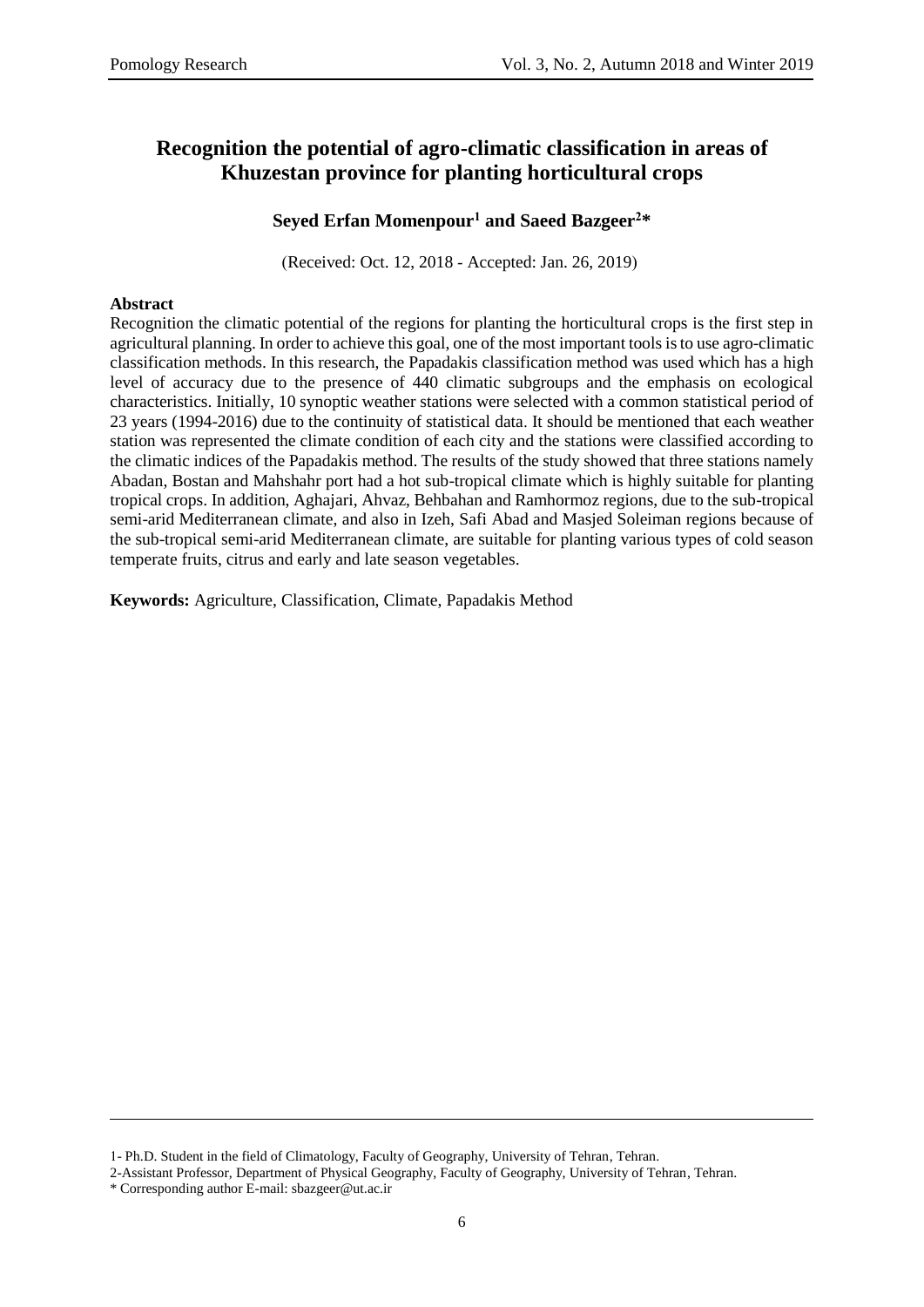# **Recognition the potential of agro-climatic classification in areas of Khuzestan province for planting horticultural crops**

### **Seyed Erfan Momenpour<sup>1</sup> and Saeed Bazgeer<sup>2</sup>\***

(Received: Oct. 12, 2018 - Accepted: Jan. 26, 2019)

### **Abstract**

Recognition the climatic potential of the regions for planting the horticultural crops is the first step in agricultural planning. In order to achieve this goal, one of the most important tools is to use agro-climatic classification methods. In this research, the Papadakis classification method was used which has a high level of accuracy due to the presence of 440 climatic subgroups and the emphasis on ecological characteristics. Initially, 10 synoptic weather stations were selected with a common statistical period of 23 years (1994-2016) due to the continuity of statistical data. It should be mentioned that each weather station was represented the climate condition of each city and the stations were classified according to the climatic indices of the Papadakis method. The results of the study showed that three stations namely Abadan, Bostan and Mahshahr port had a hot sub-tropical climate which is highly suitable for planting tropical crops. In addition, Aghajari, Ahvaz, Behbahan and Ramhormoz regions, due to the sub-tropical semi-arid Mediterranean climate, and also in Izeh, Safi Abad and Masjed Soleiman regions because of the sub-tropical semi-arid Mediterranean climate, are suitable for planting various types of cold season temperate fruits, citrus and early and late season vegetables.

**Keywords:** Agriculture, Classification, Climate, Papadakis Method

2-Assistant Professor, Department of Physical Geography, Faculty of Geography, University of Tehran, Tehran.

l

<sup>1-</sup> Ph.D. Student in the field of Climatology, Faculty of Geography, University of Tehran, Tehran.

<sup>\*</sup> Corresponding author E-mail: [sbazgeer@ut.ac.ir](mailto:sbazgeer@ut.ac.ir)